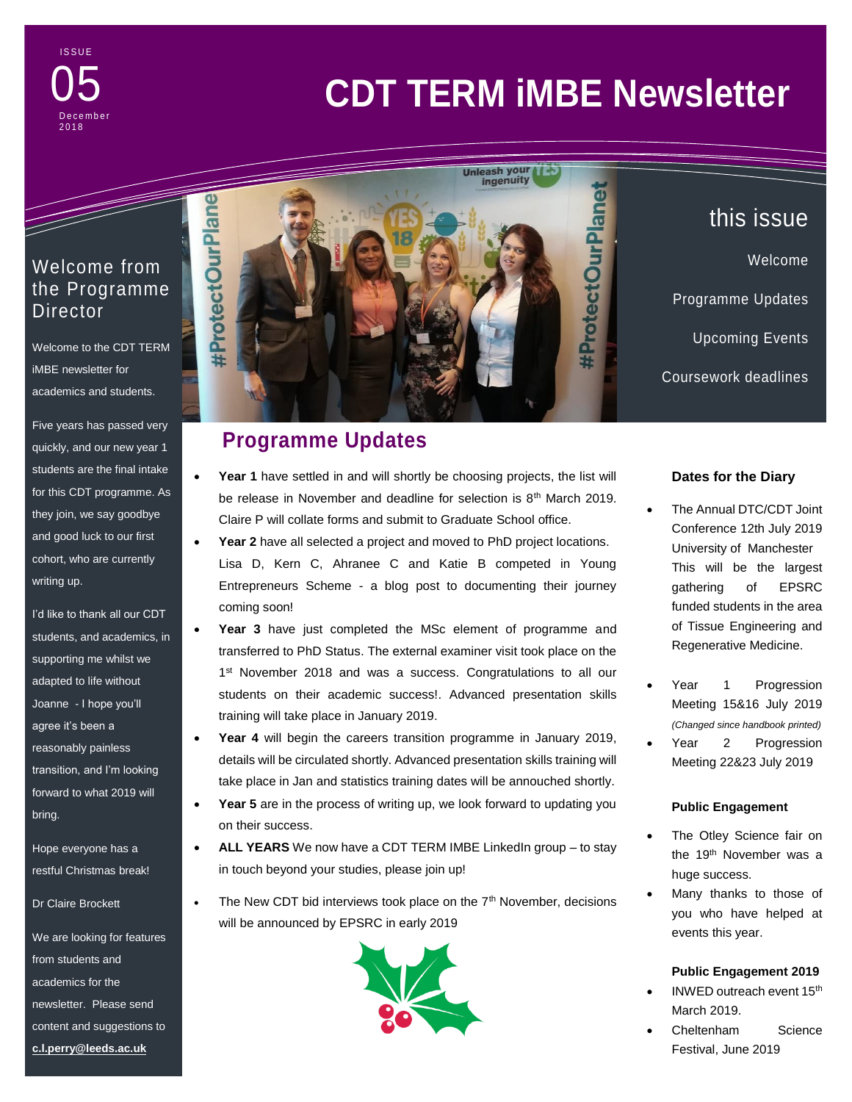#### **ISSUE**  $2 - 10$ 05 D e c e m b e r 2 0 1 8

# **CDT TERM iMBE Newsletter**

## Welcome from the Programme Director

a da kasar Tanzania da Kasar Tanzania da Kasar Tanzania da Kasar Tanzania da Kasar Tanzania da Kasar Tanzania<br>Kasar Indonesia

Welcome to the CDT TERM iMBE newsletter for academics and students.

Five years has passed very quickly, and our new year 1 students are the final intake for this CDT programme. As they join, we say goodbye and good luck to our first cohort, who are currently writing up.

I'd like to thank all our CDT students, and academics, in supporting me whilst we adapted to life without Joanne - I hope you'll agree it's been a reasonably painless transition, and I'm looking forward to what 2019 will bring.

Hope everyone has a restful Christmas break!

Dr Claire Brockett

We are looking for features from students and academics for the newsletter. Please send content and suggestions to **[c.l.perry@leeds.ac.uk](mailto:c.l.perry@leeds.ac.uk)**



## **Programme Updates**

- Year 1 have settled in and will shortly be choosing projects, the list will be release in November and deadline for selection is 8<sup>th</sup> March 2019. Claire P will collate forms and submit to Graduate School office.
- **Year 2** have all selected a project and moved to PhD project locations. Lisa D, Kern C, Ahranee C and Katie B competed in Young Entrepreneurs Scheme - a blog post to documenting their journey coming soon!
- **Year 3** have just completed the MSc element of programme and transferred to PhD Status. The external examiner visit took place on the 1<sup>st</sup> November 2018 and was a success. Congratulations to all our students on their academic success!. Advanced presentation skills training will take place in January 2019.
- **Year 4** will begin the careers transition programme in January 2019, details will be circulated shortly. Advanced presentation skills training will take place in Jan and statistics training dates will be annouched shortly.
- Year 5 are in the process of writing up, we look forward to updating you on their success.
- ALL YEARS We now have a CDT TERM IMBE LinkedIn group to stay in touch beyond your studies, please join up!
- $\bullet$  The New CDT bid interviews took place on the  $7<sup>th</sup>$  November, decisions will be announced by EPSRC in early 2019



## this issue Welcome Programme Updates Upcoming Events Coursework deadlines

#### **Dates for the Diary**

- The Annual DTC/CDT Joint Conference 12th July 2019 University of Manchester This will be the largest gathering of EPSRC funded students in the area of Tissue Engineering and Regenerative Medicine.
- Year 1 Progression Meeting 15&16 July 2019 *(Changed since handbook printed)*
- Year 2 Progression Meeting 22&23 July 2019

#### **Public Engagement**

- The Otley Science fair on the 19<sup>th</sup> November was a huge success.
- Many thanks to those of you who have helped at events this year.

#### **Public Engagement 2019**

- INWED outreach event 15th March 2019.
- Cheltenham Science Festival, June 2019